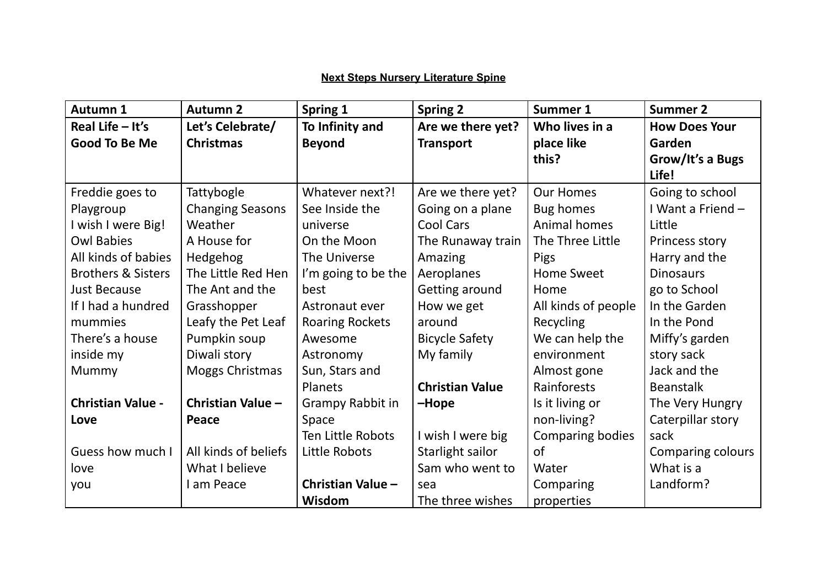## **Next Steps Nursery Literature Spine**

| Autumn 1                      | <b>Autumn 2</b>         | Spring 1               | <b>Spring 2</b>        | Summer 1            | <b>Summer 2</b>          |
|-------------------------------|-------------------------|------------------------|------------------------|---------------------|--------------------------|
| Real Life $-$ It's            | Let's Celebrate/        | To Infinity and        | Are we there yet?      | Who lives in a      | <b>How Does Your</b>     |
| <b>Good To Be Me</b>          | <b>Christmas</b>        | <b>Beyond</b>          | <b>Transport</b>       | place like          | Garden                   |
|                               |                         |                        |                        | this?               | Grow/It's a Bugs         |
|                               |                         |                        |                        |                     | Life!                    |
| Freddie goes to               | Tattybogle              | Whatever next?!        | Are we there yet?      | <b>Our Homes</b>    | Going to school          |
| Playgroup                     | <b>Changing Seasons</b> | See Inside the         | Going on a plane       | <b>Bug homes</b>    | I Want a Friend -        |
| I wish I were Big!            | Weather                 | universe               | <b>Cool Cars</b>       | Animal homes        | Little                   |
| <b>Owl Babies</b>             | A House for             | On the Moon            | The Runaway train      | The Three Little    | Princess story           |
| All kinds of babies           | Hedgehog                | The Universe           | Amazing                | <b>Pigs</b>         | Harry and the            |
| <b>Brothers &amp; Sisters</b> | The Little Red Hen      | I'm going to be the    | Aeroplanes             | <b>Home Sweet</b>   | <b>Dinosaurs</b>         |
| <b>Just Because</b>           | The Ant and the         | best                   | Getting around         | Home                | go to School             |
| If I had a hundred            | Grasshopper             | Astronaut ever         | How we get             | All kinds of people | In the Garden            |
| mummies                       | Leafy the Pet Leaf      | <b>Roaring Rockets</b> | around                 | Recycling           | In the Pond              |
| There's a house               | Pumpkin soup            | Awesome                | <b>Bicycle Safety</b>  | We can help the     | Miffy's garden           |
| inside my                     | Diwali story            | Astronomy              | My family              | environment         | story sack               |
| Mummy                         | Moggs Christmas         | Sun, Stars and         |                        | Almost gone         | Jack and the             |
|                               |                         | Planets                | <b>Christian Value</b> | Rainforests         | <b>Beanstalk</b>         |
| <b>Christian Value -</b>      | Christian Value -       | Grampy Rabbit in       | -Hope                  | Is it living or     | The Very Hungry          |
| Love                          | Peace                   | Space                  |                        | non-living?         | Caterpillar story        |
|                               |                         | Ten Little Robots      | I wish I were big      | Comparing bodies    | sack                     |
| Guess how much I              | All kinds of beliefs    | Little Robots          | Starlight sailor       | of                  | <b>Comparing colours</b> |
| love                          | What I believe          |                        | Sam who went to        | Water               | What is a                |
| you                           | I am Peace              | Christian Value -      | sea                    | Comparing           | Landform?                |
|                               |                         | Wisdom                 | The three wishes       | properties          |                          |